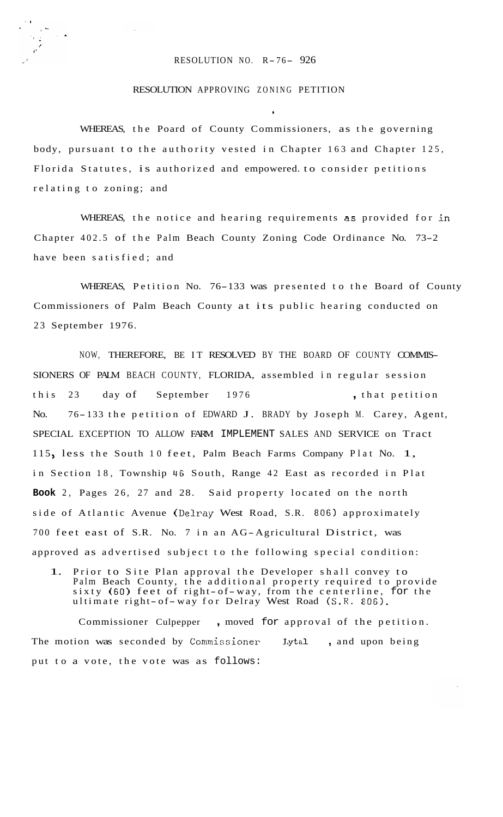## RESOLUTION NO. R- 76- 926

**1** 

## RESOLUTION APPROVING ZONING PETITION

WHEREAS, the Poard of County Commissioners, as the governing body, pursuant to the authority vested in Chapter 163 and Chapter 125, Florida Statutes, is authorized and empowered. to consider petitions relating to zoning; and

WHEREAS, the notice and hearing requirements *as* provided for in Chapter 402.5 of the Palm Beach County Zoning Code Ordinance No. 73-2 have been satisfied; and

WHEREAS, Petition No. 76-133 was presented to the Board of County Commissioners of Palm Beach County at its public hearing conducted on 23 September 1976.

NOW, THEREFORE, BE IT RESOLVED BY THE BOARD OF COUNTY COMMIS-SIONERS OF PALM BEACH COUNTY, FLORIDA, assembled in regular session this 23 day of September 1976 , that petition No. 76- 133 the petition of EDWARD J. BRADY by Joseph M. Carey, Agent, SPECIAL EXCEPTION TO ALLOW FARM IMPLEMENT SALES AND SERVICE on Tract 115, less the South 10 feet, Palm Beach Farms Company Plat No. 1, in Section 18, Township 46 South, Range 42 East as recorded in Plat **Book** 2, Pages 26, 27 and 28. Said property located on the north side of Atlantic Avenue **(Delray** West Road, S.R. 806) approximately 700 feet east of S.R. No. 7 in an AG-Agricultural District, was approved as advertised subject to the following special condition:

1. Prior to Site Plan approval the Developer shall convey to Palm Beach County, the additional property required to provide sixty (60) feet of right-of-way, from the centerline, for the sixty (60) feet of right-of-way, from the centerfine,<br>ultimate right-of-way for Delray West Road (S.R. 806).

Commissioner Culpepper , moved for approval of the petition. The motion was seconded by Commissioner Lytal , and upon being put to a vote, the vote was as follows: